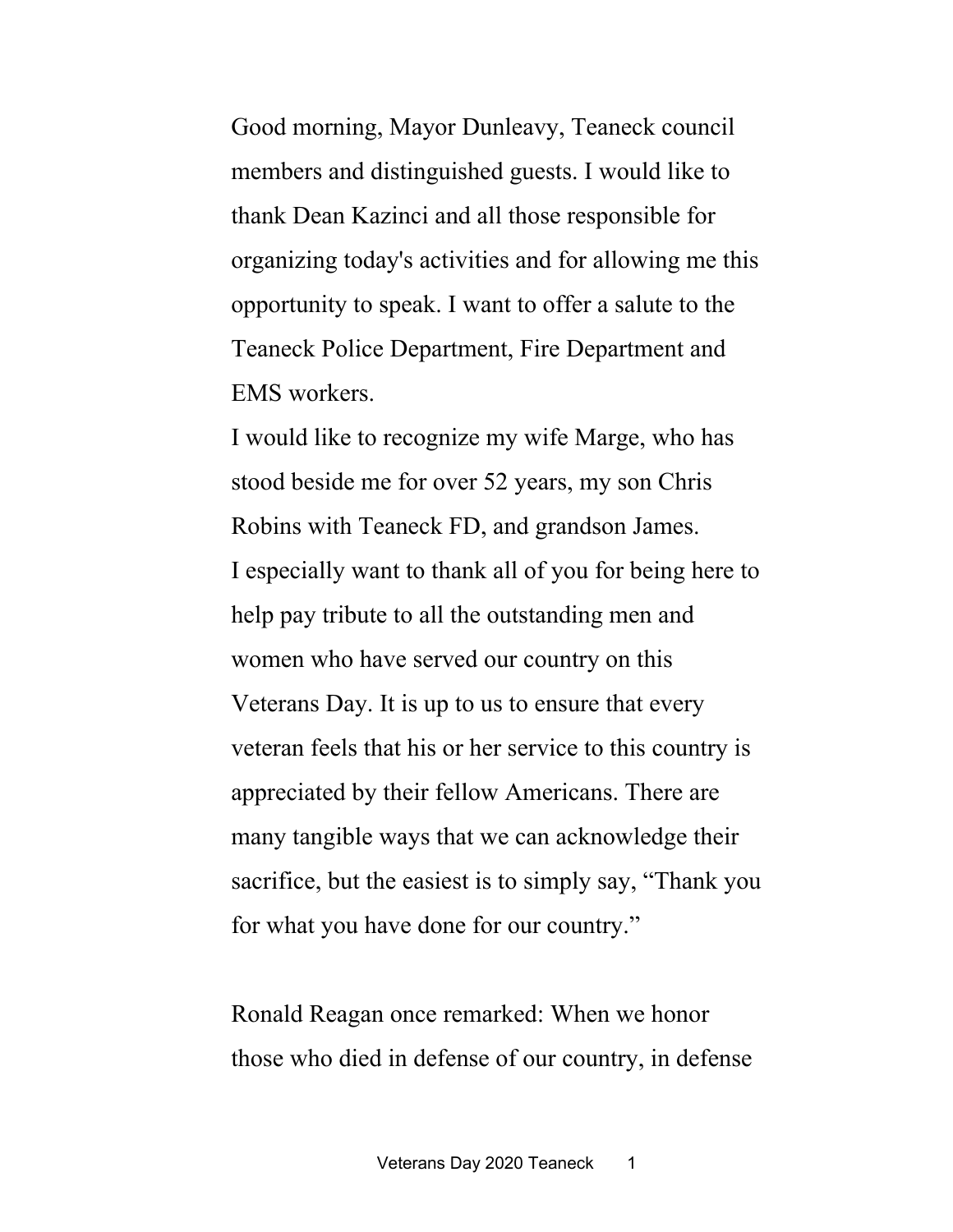Good morning, Mayor Dunleavy, Teaneck council members and distinguished guests. I would like to thank Dean Kazinci and all those responsible for organizing today's activities and for allowing me this opportunity to speak. I want to offer a salute to the Teaneck Police Department, Fire Department and EMS workers.

I would like to recognize my wife Marge, who has stood beside me for over 52 years, my son Chris Robins with Teaneck FD, and grandson James. I especially want to thank all of you for being here to help pay tribute to all the outstanding men and women who have served our country on this Veterans Day. It is up to us to ensure that every veteran feels that his or her service to this country is appreciated by their fellow Americans. There are many tangible ways that we can acknowledge their sacrifice, but the easiest is to simply say, "Thank you for what you have done for our country."

Ronald Reagan once [remarked:](https://www.va.gov/opa/vetsday/speakers/1985remarks.asp?mod=article_inline) When we honor those who died in defense of our country, in defense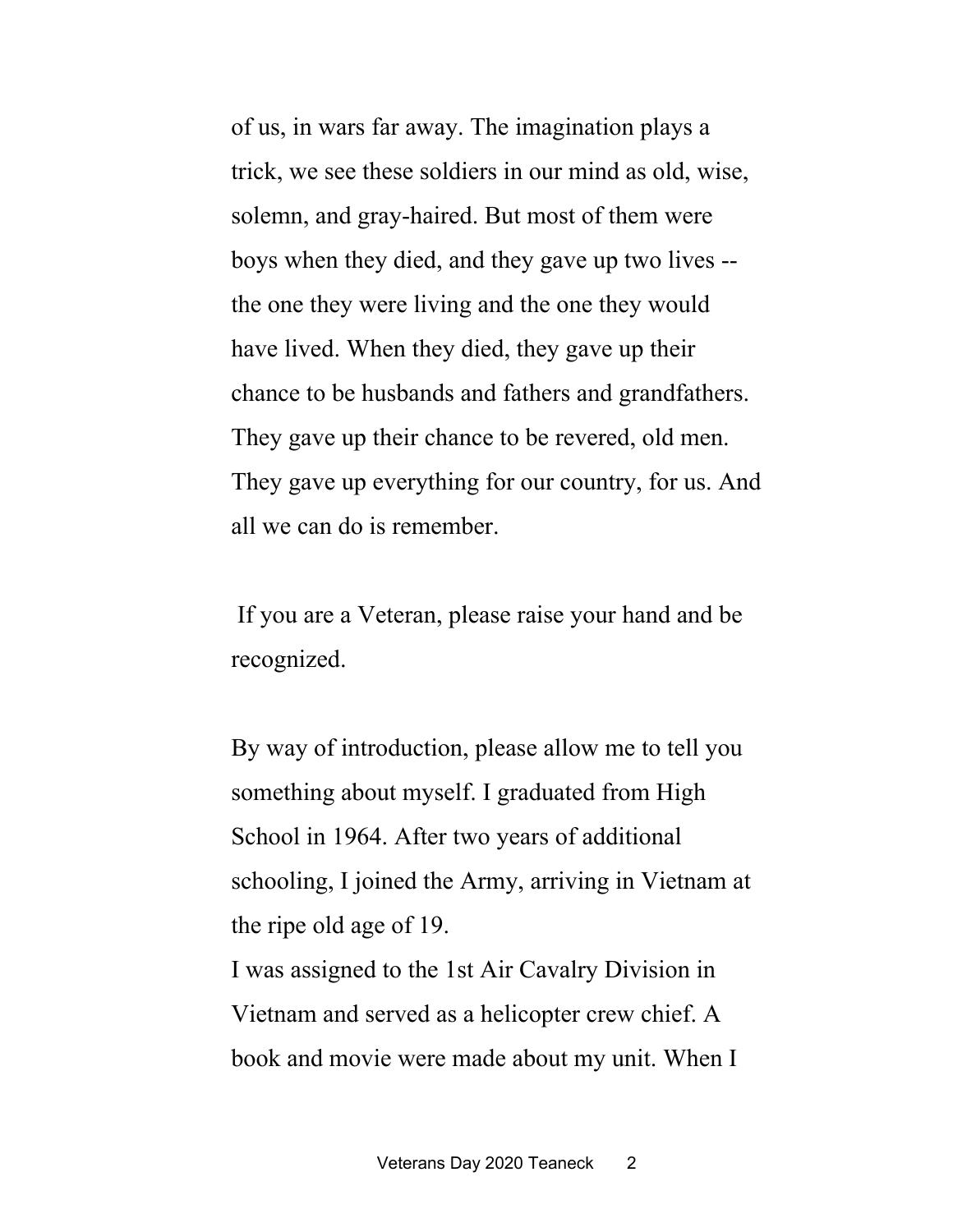of us, in wars far away. The imagination plays a trick, we see these soldiers in our mind as old, wise, solemn, and gray-haired. But most of them were boys when they died, and they gave up two lives - the one they were living and the one they would have lived. When they died, they gave up their chance to be husbands and fathers and grandfathers. They gave up their chance to be revered, old men. They gave up everything for our country, for us. And all we can do is remember.

If you are a Veteran, please raise your hand and be recognized.

By way of introduction, please allow me to tell you something about myself. I graduated from High School in 1964. After two years of additional schooling, I joined the Army, arriving in Vietnam at the ripe old age of 19.

I was assigned to the 1st Air Cavalry Division in Vietnam and served as a helicopter crew chief. A book and movie were made about my unit. When I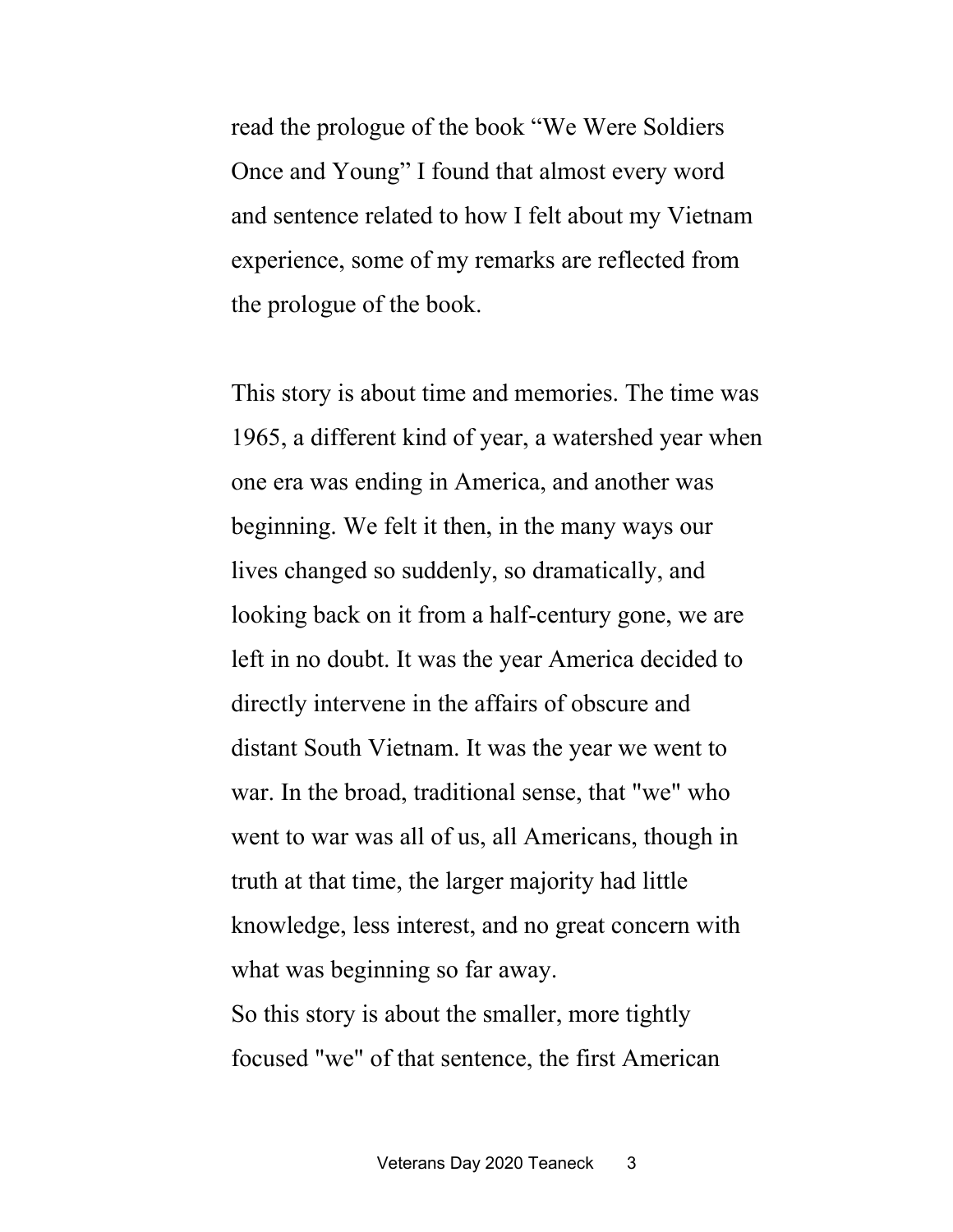read the prologue of the book "We Were Soldiers Once and Young" I found that almost every word and sentence related to how I felt about my Vietnam experience, some of my remarks are reflected from the prologue of the book.

This story is about time and memories. The time was 1965, a different kind of year, a watershed year when one era was ending in America, and another was beginning. We felt it then, in the many ways our lives changed so suddenly, so dramatically, and looking back on it from a half-century gone, we are left in no doubt. It was the year America decided to directly intervene in the affairs of obscure and distant South Vietnam. It was the year we went to war. In the broad, traditional sense, that "we" who went to war was all of us, all Americans, though in truth at that time, the larger majority had little knowledge, less interest, and no great concern with what was beginning so far away. So this story is about the smaller, more tightly focused "we" of that sentence, the first American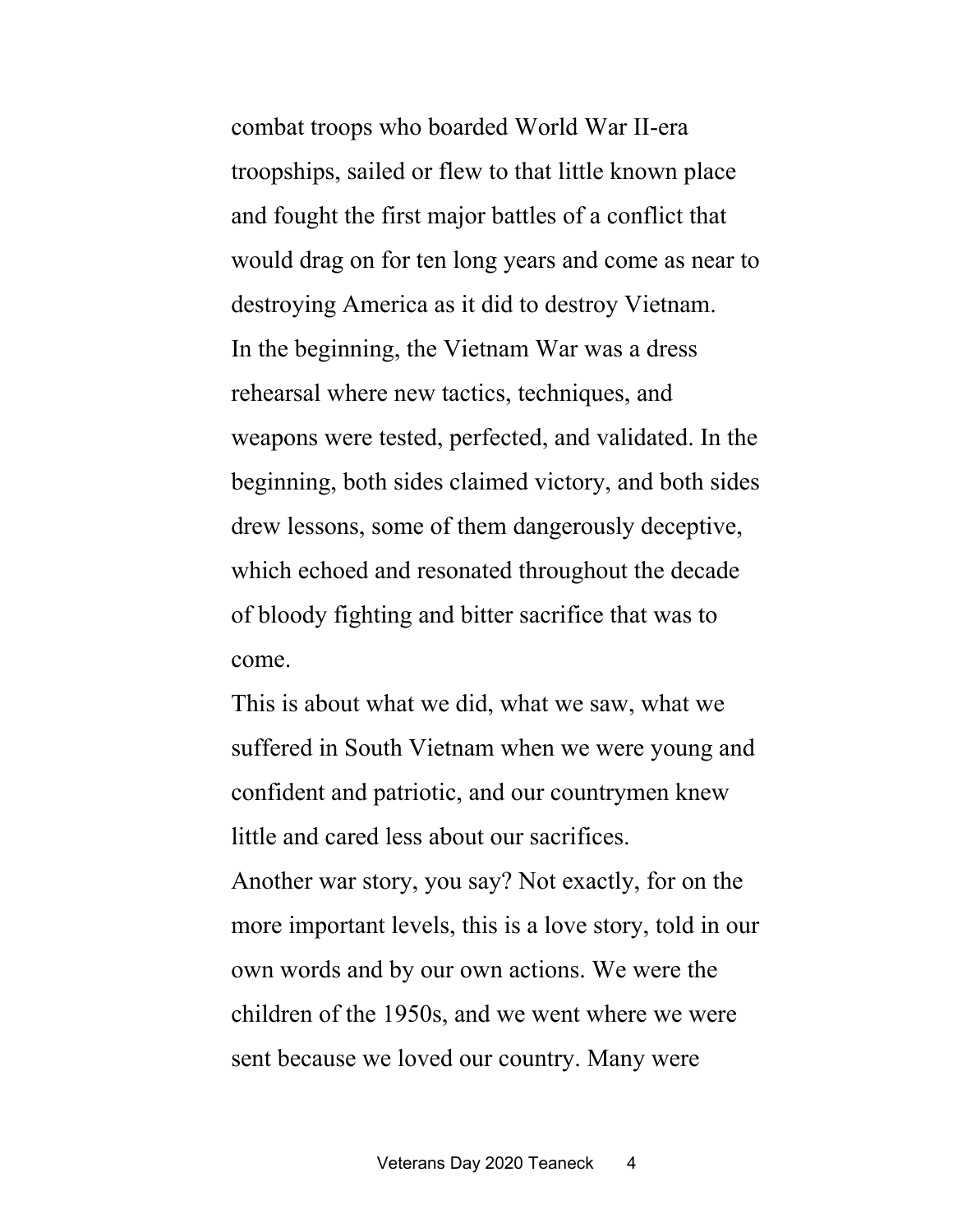combat troops who boarded World War II-era troopships, sailed or flew to that little known place and fought the first major battles of a conflict that would drag on for ten long years and come as near to destroying America as it did to destroy Vietnam. In the beginning, the Vietnam War was a dress rehearsal where new tactics, techniques, and weapons were tested, perfected, and validated. In the beginning, both sides claimed victory, and both sides drew lessons, some of them dangerously deceptive, which echoed and resonated throughout the decade of bloody fighting and bitter sacrifice that was to come.

This is about what we did, what we saw, what we suffered in South Vietnam when we were young and confident and patriotic, and our countrymen knew little and cared less about our sacrifices.

Another war story, you say? Not exactly, for on the more important levels, this is a love story, told in our own words and by our own actions. We were the children of the 1950s, and we went where we were sent because we loved our country. Many were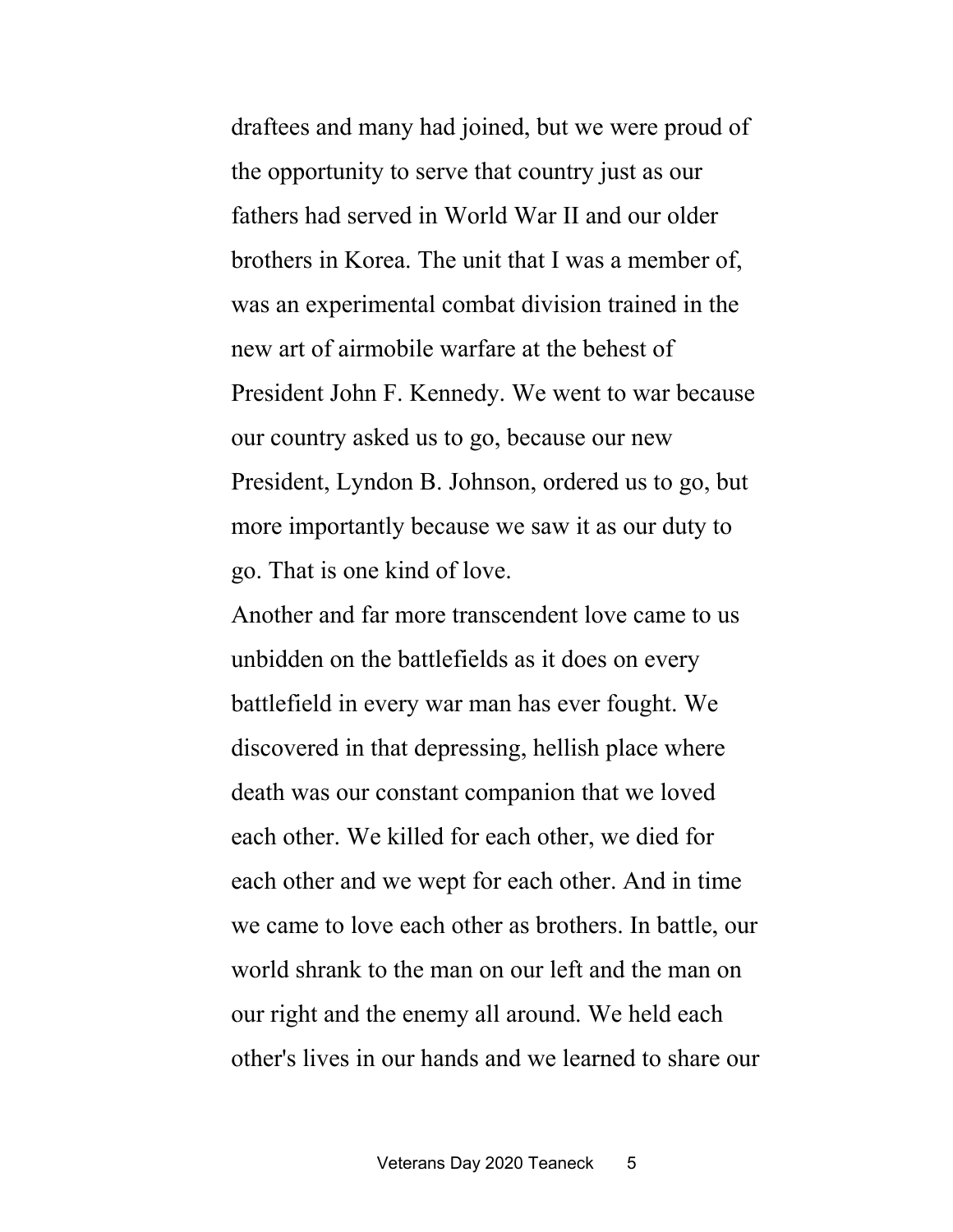draftees and many had joined, but we were proud of the opportunity to serve that country just as our fathers had served in World War II and our older brothers in Korea. The unit that I was a member of, was an experimental combat division trained in the new art of airmobile warfare at the behest of President John F. Kennedy. We went to war because our country asked us to go, because our new President, Lyndon B. Johnson, ordered us to go, but more importantly because we saw it as our duty to go. That is one kind of love.

Another and far more transcendent love came to us unbidden on the battlefields as it does on every battlefield in every war man has ever fought. We discovered in that depressing, hellish place where death was our constant companion that we loved each other. We killed for each other, we died for each other and we wept for each other. And in time we came to love each other as brothers. In battle, our world shrank to the man on our left and the man on our right and the enemy all around. We held each other's lives in our hands and we learned to share our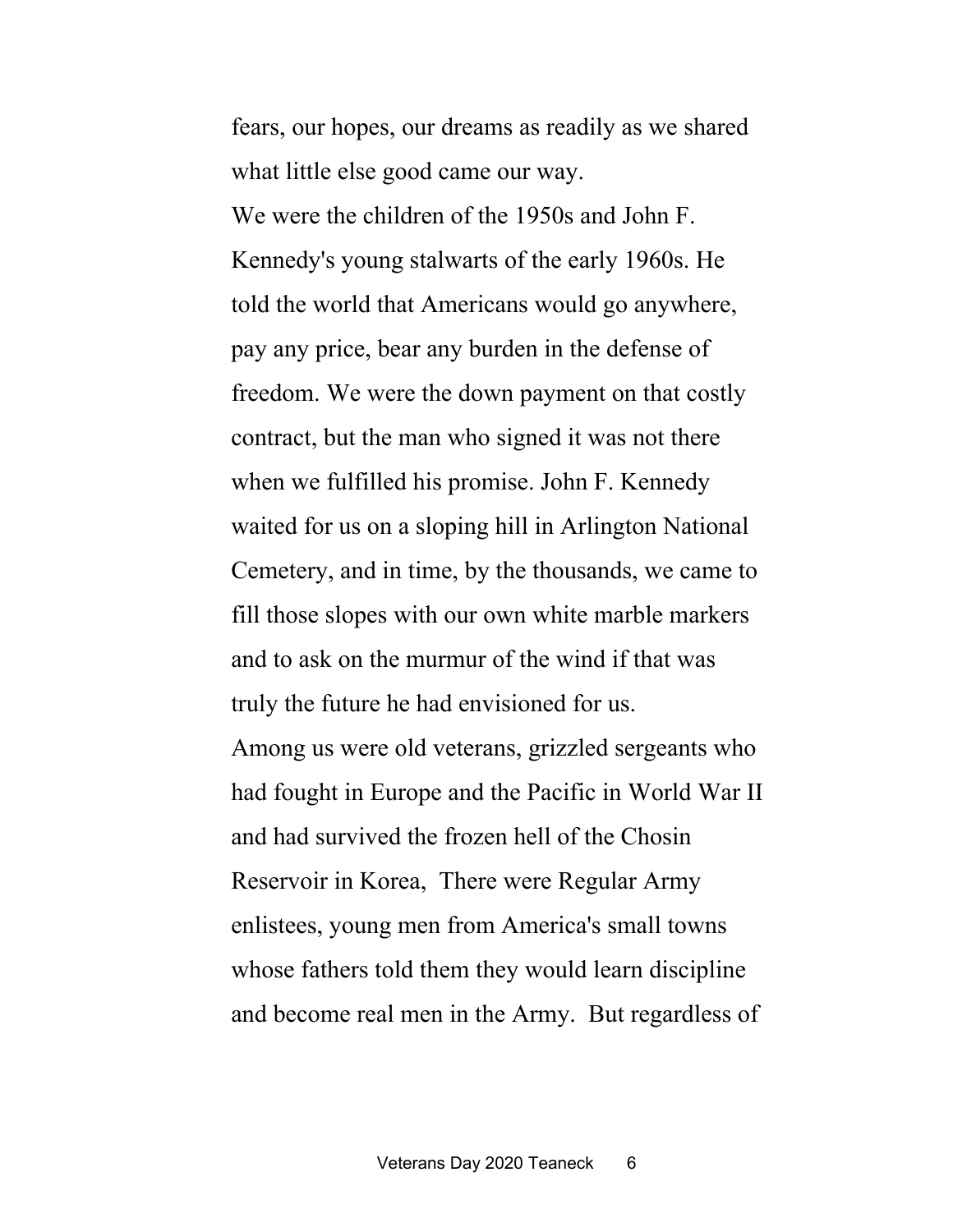fears, our hopes, our dreams as readily as we shared what little else good came our way.

We were the children of the 1950s and John F. Kennedy's young stalwarts of the early 1960s. He told the world that Americans would go anywhere, pay any price, bear any burden in the defense of freedom. We were the down payment on that costly contract, but the man who signed it was not there when we fulfilled his promise. John F. Kennedy waited for us on a sloping hill in Arlington National Cemetery, and in time, by the thousands, we came to fill those slopes with our own white marble markers and to ask on the murmur of the wind if that was truly the future he had envisioned for us.

Among us were old veterans, grizzled sergeants who had fought in Europe and the Pacific in World War II and had survived the frozen hell of the Chosin Reservoir in Korea, There were Regular Army enlistees, young men from America's small towns whose fathers told them they would learn discipline and become real men in the Army. But regardless of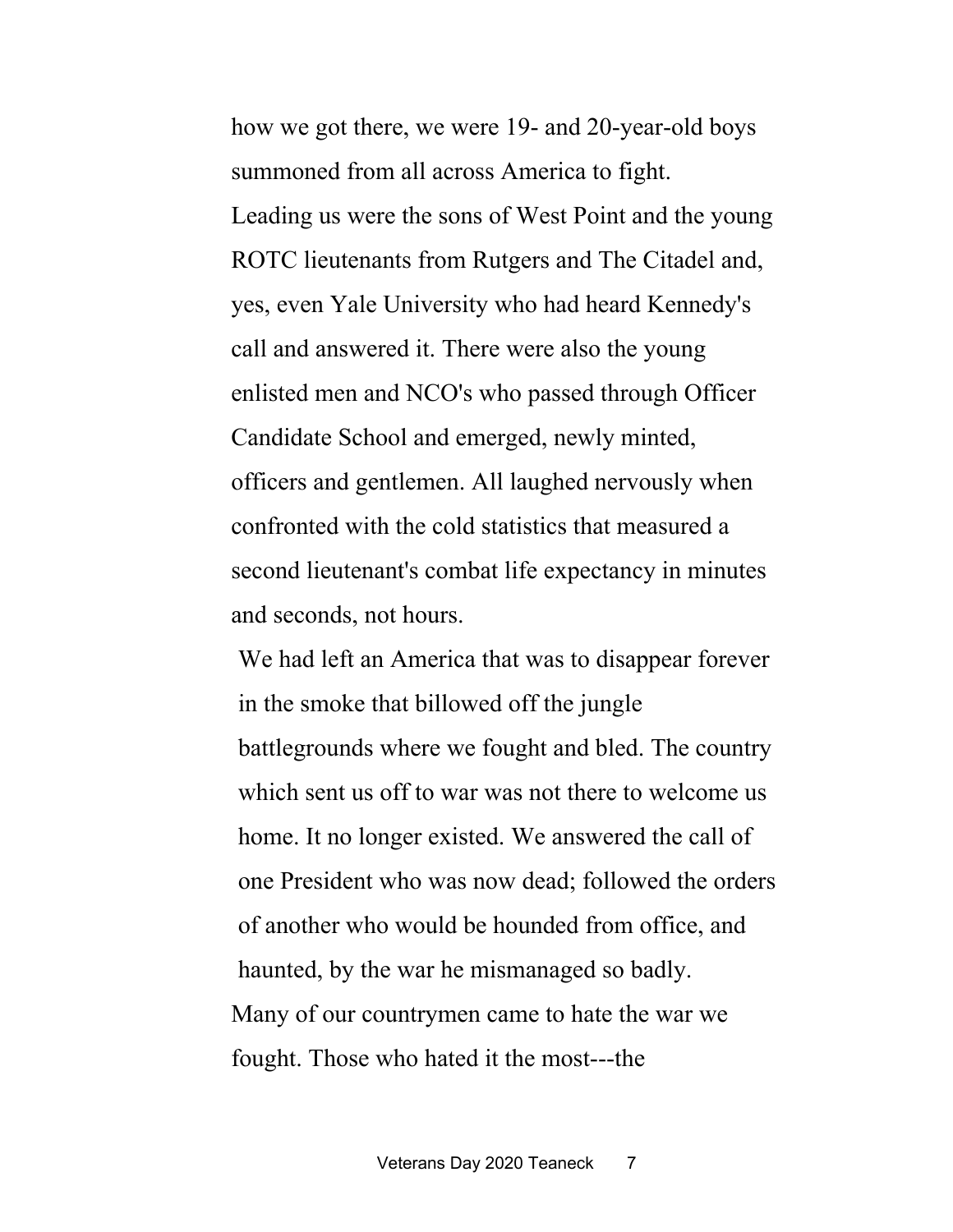how we got there, we were 19- and 20-year-old boys summoned from all across America to fight. Leading us were the sons of West Point and the young ROTC lieutenants from Rutgers and The Citadel and, yes, even Yale University who had heard Kennedy's call and answered it. There were also the young enlisted men and NCO's who passed through Officer Candidate School and emerged, newly minted, officers and gentlemen. All laughed nervously when confronted with the cold statistics that measured a second lieutenant's combat life expectancy in minutes and seconds, not hours.

We had left an America that was to disappear forever in the smoke that billowed off the jungle battlegrounds where we fought and bled. The country which sent us off to war was not there to welcome us home. It no longer existed. We answered the call of one President who was now dead; followed the orders of another who would be hounded from office, and haunted, by the war he mismanaged so badly. Many of our countrymen came to hate the war we fought. Those who hated it the most---the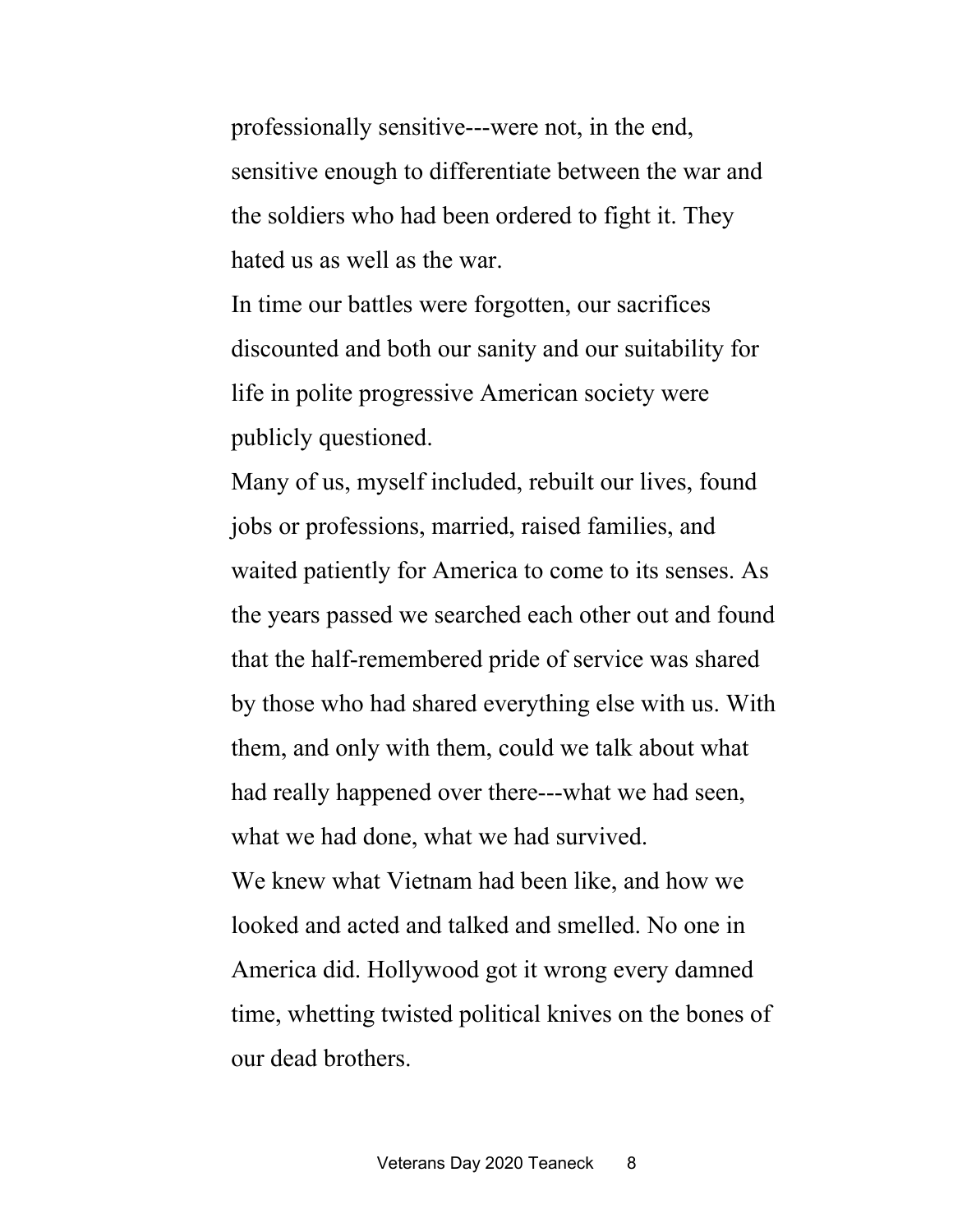professionally sensitive---were not, in the end, sensitive enough to differentiate between the war and the soldiers who had been ordered to fight it. They hated us as well as the war.

In time our battles were forgotten, our sacrifices discounted and both our sanity and our suitability for life in polite progressive American society were publicly questioned.

Many of us, myself included, rebuilt our lives, found jobs or professions, married, raised families, and waited patiently for America to come to its senses. As the years passed we searched each other out and found that the half-remembered pride of service was shared by those who had shared everything else with us. With them, and only with them, could we talk about what had really happened over there---what we had seen, what we had done, what we had survived. We knew what Vietnam had been like, and how we

looked and acted and talked and smelled. No one in America did. Hollywood got it wrong every damned time, whetting twisted political knives on the bones of our dead brothers.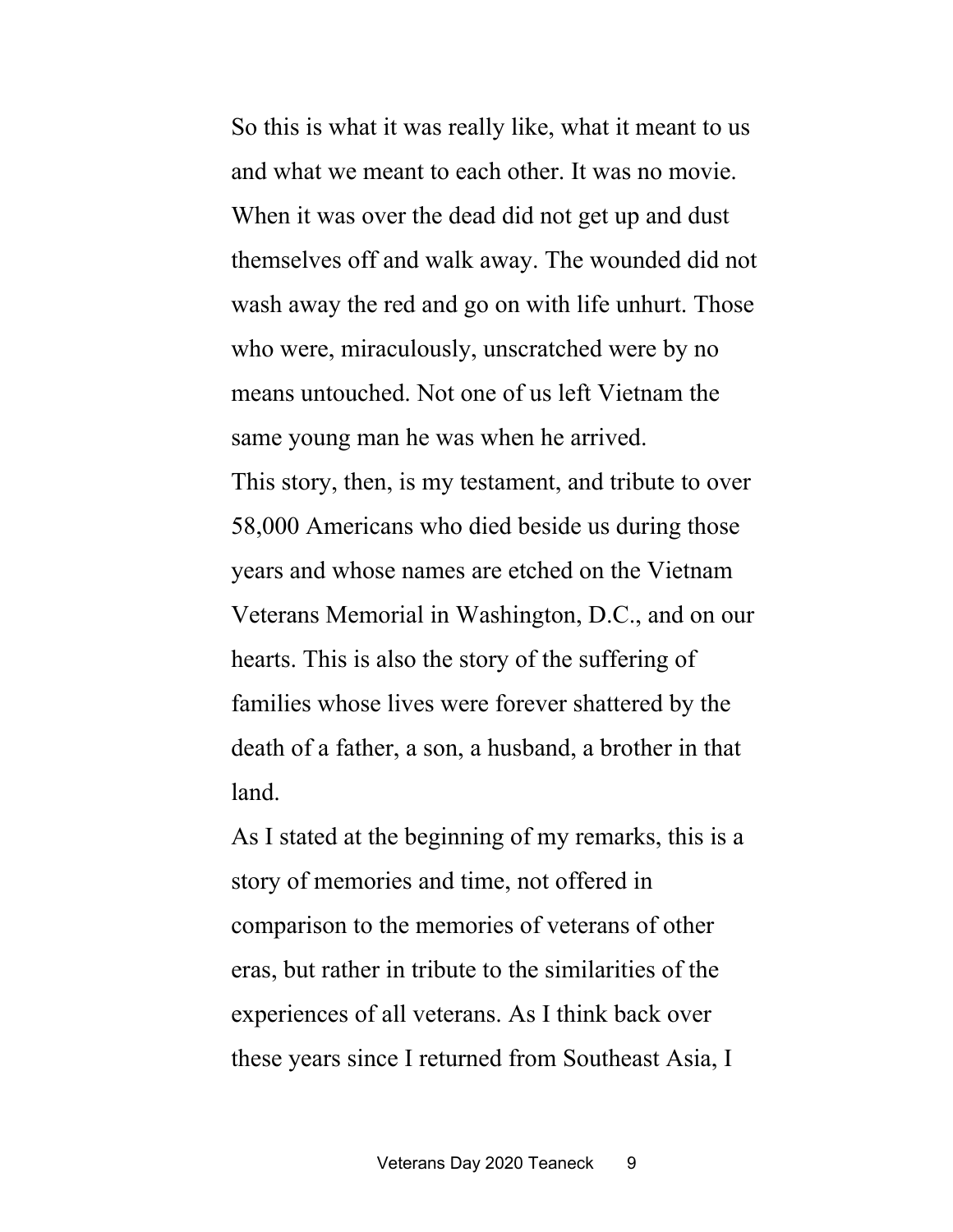So this is what it was really like, what it meant to us and what we meant to each other. It was no movie. When it was over the dead did not get up and dust themselves off and walk away. The wounded did not wash away the red and go on with life unhurt. Those who were, miraculously, unscratched were by no means untouched. Not one of us left Vietnam the same young man he was when he arrived. This story, then, is my testament, and tribute to over 58,000 Americans who died beside us during those years and whose names are etched on the Vietnam Veterans Memorial in Washington, D.C., and on our hearts. This is also the story of the suffering of families whose lives were forever shattered by the death of a father, a son, a husband, a brother in that land.

As I stated at the beginning of my remarks, this is a story of memories and time, not offered in comparison to the memories of veterans of other eras, but rather in tribute to the similarities of the experiences of all veterans. As I think back over these years since I returned from Southeast Asia, I